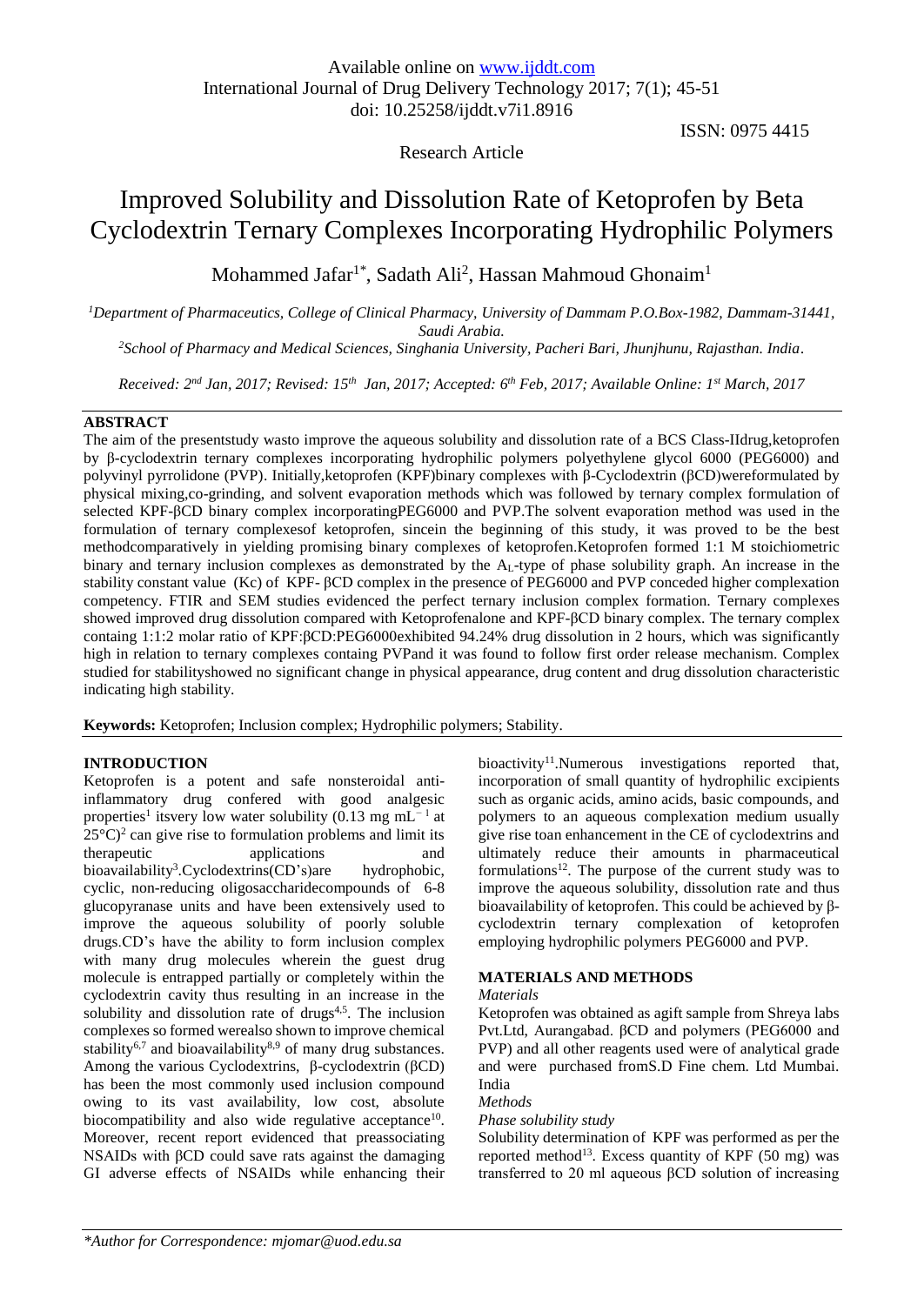# Research Article

ISSN: 0975 4415

# Improved Solubility and Dissolution Rate of Ketoprofen by Beta Cyclodextrin Ternary Complexes Incorporating Hydrophilic Polymers

Mohammed Jafar<sup>1\*</sup>, Sadath Ali<sup>2</sup>, Hassan Mahmoud Ghonaim<sup>1</sup>

*<sup>1</sup>Department of Pharmaceutics, College of Clinical Pharmacy, University of Dammam P.O.Box-1982, Dammam-31441, Saudi Arabia.*

*<sup>2</sup>School of Pharmacy and Medical Sciences, Singhania University, Pacheri Bari, Jhunjhunu, Rajasthan. India.*

*Received: 2 nd Jan, 2017; Revised: 15th Jan, 2017; Accepted: 6 th Feb, 2017; Available Online: 1st March, 2017*

# **ABSTRACT**

The aim of the presentstudy wasto improve the aqueous solubility and dissolution rate of a BCS Class-IIdrug,ketoprofen by β-cyclodextrin ternary complexes incorporating hydrophilic polymers polyethylene glycol 6000 (PEG6000) and polyvinyl pyrrolidone (PVP). Initially,ketoprofen (KPF)binary complexes with β-Cyclodextrin (βCD)wereformulated by physical mixing,co-grinding, and solvent evaporation methods which was followed by ternary complex formulation of selected KPF-βCD binary complex incorporatingPEG6000 and PVP.The solvent evaporation method was used in the formulation of ternary complexesof ketoprofen, sincein the beginning of this study, it was proved to be the best methodcomparatively in yielding promising binary complexes of ketoprofen.Ketoprofen formed 1:1 M stoichiometric binary and ternary inclusion complexes as demonstrated by the AL-type of phase solubility graph. An increase in the stability constant value (Kc) of KPF- βCD complex in the presence of PEG6000 and PVP conceded higher complexation competency. FTIR and SEM studies evidenced the perfect ternary inclusion complex formation. Ternary complexes showed improved drug dissolution compared with Ketoprofenalone and KPF-βCD binary complex. The ternary complex containg 1:1:2 molar ratio of KPF:βCD:PEG6000exhibited 94.24% drug dissolution in 2 hours, which was significantly high in relation to ternary complexes containg PVPand it was found to follow first order release mechanism. Complex studied for stabilityshowed no significant change in physical appearance, drug content and drug dissolution characteristic indicating high stability.

**Keywords:** Ketoprofen; Inclusion complex; Hydrophilic polymers; Stability.

# **INTRODUCTION**

Ketoprofen is a potent and safe nonsteroidal antiinflammatory drug confered with good analgesic properties<sup>1</sup> itsvery low water solubility (0.13 mg mL<sup>-1</sup> at  $25^{\circ}$ C)<sup>2</sup> can give rise to formulation problems and limit its therapeutic applications and bioavailability<sup>3</sup>.Cyclodextrins(CD's)are hydrophobic, cyclic, non-reducing oligosaccharidecompounds of 6-8 glucopyranase units and have been extensively used to improve the aqueous solubility of poorly soluble drugs.CD's have the ability to form inclusion complex with many drug molecules wherein the guest drug molecule is entrapped partially or completely within the cyclodextrin cavity thus resulting in an increase in the solubility and dissolution rate of drugs $4.5$ . The inclusion complexes so formed werealso shown to improve chemical stability<sup>6,7</sup> and bioavailability<sup>8,9</sup> of many drug substances. Among the various Cyclodextrins, β-cyclodextrin (βCD) has been the most commonly used inclusion compound owing to its vast availability, low cost, absolute biocompatibility and also wide regulative acceptance<sup>10</sup>. Moreover, recent report evidenced that preassociating NSAIDs with βCD could save rats against the damaging GI adverse effects of NSAIDs while enhancing their

bioactivity<sup>11</sup>. Numerous investigations reported that, incorporation of small quantity of hydrophilic excipients such as organic acids, amino acids, basic compounds, and polymers to an aqueous complexation medium usually give rise toan enhancement in the CE of cyclodextrins and ultimately reduce their amounts in pharmaceutical formulations<sup>12</sup>. The purpose of the current study was to improve the aqueous solubility, dissolution rate and thus bioavailability of ketoprofen. This could be achieved by βcyclodextrin ternary complexation of ketoprofen employing hydrophilic polymers PEG6000 and PVP.

# **MATERIALS AND METHODS**

# *Materials*

Ketoprofen was obtained as agift sample from Shreya labs Pvt.Ltd, Aurangabad. βCD and polymers (PEG6000 and PVP) and all other reagents used were of analytical grade and were purchased fromS.D Fine chem. Ltd Mumbai. India

#### *Methods*

# *Phase solubility study*

Solubility determination of KPF was performed as per the reported method<sup>13</sup>. Excess quantity of KPF  $(50 \text{ mg})$  was transferred to 20 ml aqueous βCD solution of increasing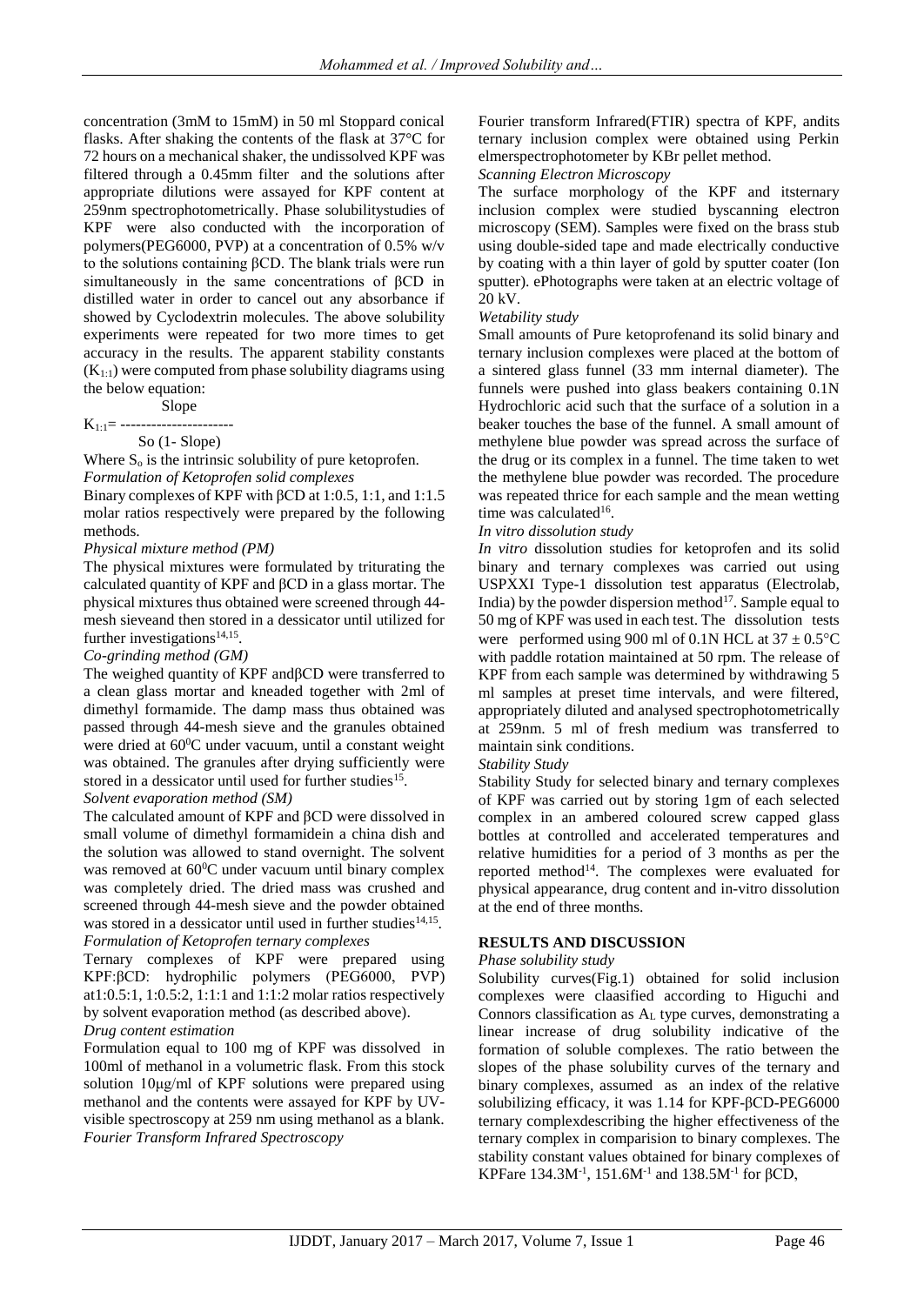concentration (3mM to 15mM) in 50 ml Stoppard conical flasks. After shaking the contents of the flask at 37°C for 72 hours on a mechanical shaker, the undissolved KPF was filtered through a 0.45mm filter and the solutions after appropriate dilutions were assayed for KPF content at 259nm spectrophotometrically. Phase solubilitystudies of KPF were also conducted with the incorporation of polymers(PEG6000, PVP) at a concentration of 0.5% w/v to the solutions containing βCD. The blank trials were run simultaneously in the same concentrations of βCD in distilled water in order to cancel out any absorbance if showed by Cyclodextrin molecules. The above solubility experiments were repeated for two more times to get accuracy in the results. The apparent stability constants  $(K_{1:1})$  were computed from phase solubility diagrams using the below equation:

Slope

 $K_{1:1}$ = -------

So (1- Slope)

Where  $S_0$  is the intrinsic solubility of pure ketoprofen. *Formulation of Ketoprofen solid complexes*

Binary complexes of KPF with βCD at 1:0.5, 1:1, and 1:1.5 molar ratios respectively were prepared by the following methods.

# *Physical mixture method (PM)*

The physical mixtures were formulated by triturating the calculated quantity of KPF and βCD in a glass mortar. The physical mixtures thus obtained were screened through 44 mesh sieveand then stored in a dessicator until utilized for further investigations<sup>14,15</sup>.

#### *Co-grinding method (GM)*

The weighed quantity of KPF andβCD were transferred to a clean glass mortar and kneaded together with 2ml of dimethyl formamide. The damp mass thus obtained was passed through 44-mesh sieve and the granules obtained were dried at  $60^{\circ}$ C under vacuum, until a constant weight was obtained. The granules after drying sufficiently were stored in a dessicator until used for further studies<sup>15</sup>.

#### *Solvent evaporation method (SM)*

The calculated amount of KPF and βCD were dissolved in small volume of dimethyl formamidein a china dish and the solution was allowed to stand overnight. The solvent was removed at  $60^{\circ}$ C under vacuum until binary complex was completely dried. The dried mass was crushed and screened through 44-mesh sieve and the powder obtained was stored in a dessicator until used in further studies<sup>14,15</sup>. *Formulation of Ketoprofen ternary complexes* 

Ternary complexes of KPF were prepared using KPF:βCD: hydrophilic polymers (PEG6000, PVP) at1:0.5:1, 1:0.5:2, 1:1:1 and 1:1:2 molar ratios respectively by solvent evaporation method (as described above).

*Drug content estimation*

Formulation equal to 100 mg of KPF was dissolved in 100ml of methanol in a volumetric flask. From this stock solution 10μg/ml of KPF solutions were prepared using methanol and the contents were assayed for KPF by UVvisible spectroscopy at 259 nm using methanol as a blank. *Fourier Transform Infrared Spectroscopy*

Fourier transform Infrared(FTIR) spectra of KPF, andits ternary inclusion complex were obtained using Perkin elmerspectrophotometer by KBr pellet method.

*Scanning Electron Microscopy*

The surface morphology of the KPF and itsternary inclusion complex were studied byscanning electron microscopy (SEM). Samples were fixed on the brass stub using double-sided tape and made electrically conductive by coating with a thin layer of gold by sputter coater (Ion sputter). ePhotographs were taken at an electric voltage of 20 kV.

#### *Wetability study*

Small amounts of Pure ketoprofenand its solid binary and ternary inclusion complexes were placed at the bottom of a sintered glass funnel (33 mm internal diameter). The funnels were pushed into glass beakers containing 0.1N Hydrochloric acid such that the surface of a solution in a beaker touches the base of the funnel. A small amount of methylene blue powder was spread across the surface of the drug or its complex in a funnel. The time taken to wet the methylene blue powder was recorded. The procedure was repeated thrice for each sample and the mean wetting time was calculated<sup>16</sup>.

#### *In vitro dissolution study*

*In vitro* dissolution studies for ketoprofen and its solid binary and ternary complexes was carried out using USPXXI Type-1 dissolution test apparatus (Electrolab, India) by the powder dispersion method $17$ . Sample equal to 50 mg of KPF was used in each test. The dissolution tests were performed using 900 ml of 0.1N HCL at  $37 \pm 0.5^{\circ}$ C with paddle rotation maintained at 50 rpm. The release of KPF from each sample was determined by withdrawing 5 ml samples at preset time intervals, and were filtered, appropriately diluted and analysed spectrophotometrically at 259nm. 5 ml of fresh medium was transferred to maintain sink conditions.

#### *Stability Study*

Stability Study for selected binary and ternary complexes of KPF was carried out by storing 1gm of each selected complex in an ambered coloured screw capped glass bottles at controlled and accelerated temperatures and relative humidities for a period of 3 months as per the reported method<sup>14</sup>. The complexes were evaluated for physical appearance, drug content and in-vitro dissolution at the end of three months.

# **RESULTS AND DISCUSSION**

#### *Phase solubility study*

Solubility curves(Fig.1) obtained for solid inclusion complexes were claasified according to Higuchi and Connors classification as A<sup>L</sup> type curves, demonstrating a linear increase of drug solubility indicative of the formation of soluble complexes. The ratio between the slopes of the phase solubility curves of the ternary and binary complexes, assumed as an index of the relative solubilizing efficacy, it was 1.14 for KPF-βCD-PEG6000 ternary complexdescribing the higher effectiveness of the ternary complex in comparision to binary complexes. The stability constant values obtained for binary complexes of KPFare 134.3M<sup>-1</sup>, 151.6M<sup>-1</sup> and 138.5M<sup>-1</sup> for βCD,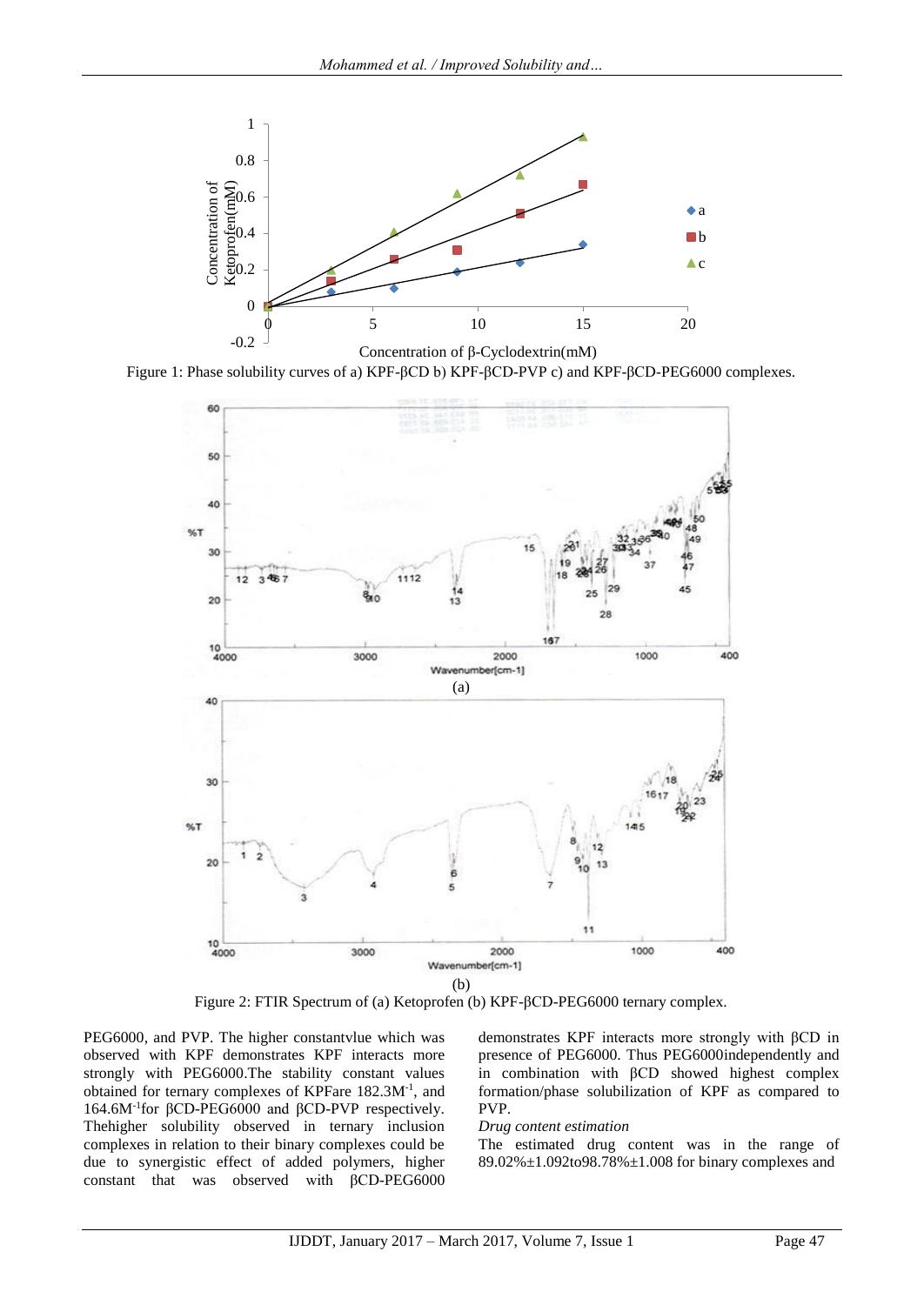

Figure 1: Phase solubility curves of a) KPF-βCD b) KPF-βCD-PVP c) and KPF-βCD-PEG6000 complexes.



Figure 2: FTIR Spectrum of (a) Ketoprofen (b) KPF-βCD-PEG6000 ternary complex.

PEG6000, and PVP. The higher constantvlue which was observed with KPF demonstrates KPF interacts more strongly with PEG6000.The stability constant values obtained for ternary complexes of KPFare 182.3M-1 , and 164.6M-1 for βCD-PEG6000 and βCD-PVP respectively. Thehigher solubility observed in ternary inclusion complexes in relation to their binary complexes could be due to synergistic effect of added polymers, higher constant that was observed with βCD-PEG6000

demonstrates KPF interacts more strongly with βCD in presence of PEG6000. Thus PEG6000independently and in combination with βCD showed highest complex formation/phase solubilization of KPF as compared to PVP.

#### *Drug content estimation*

The estimated drug content was in the range of 89.02%±1.092to98.78%±1.008 for binary complexes and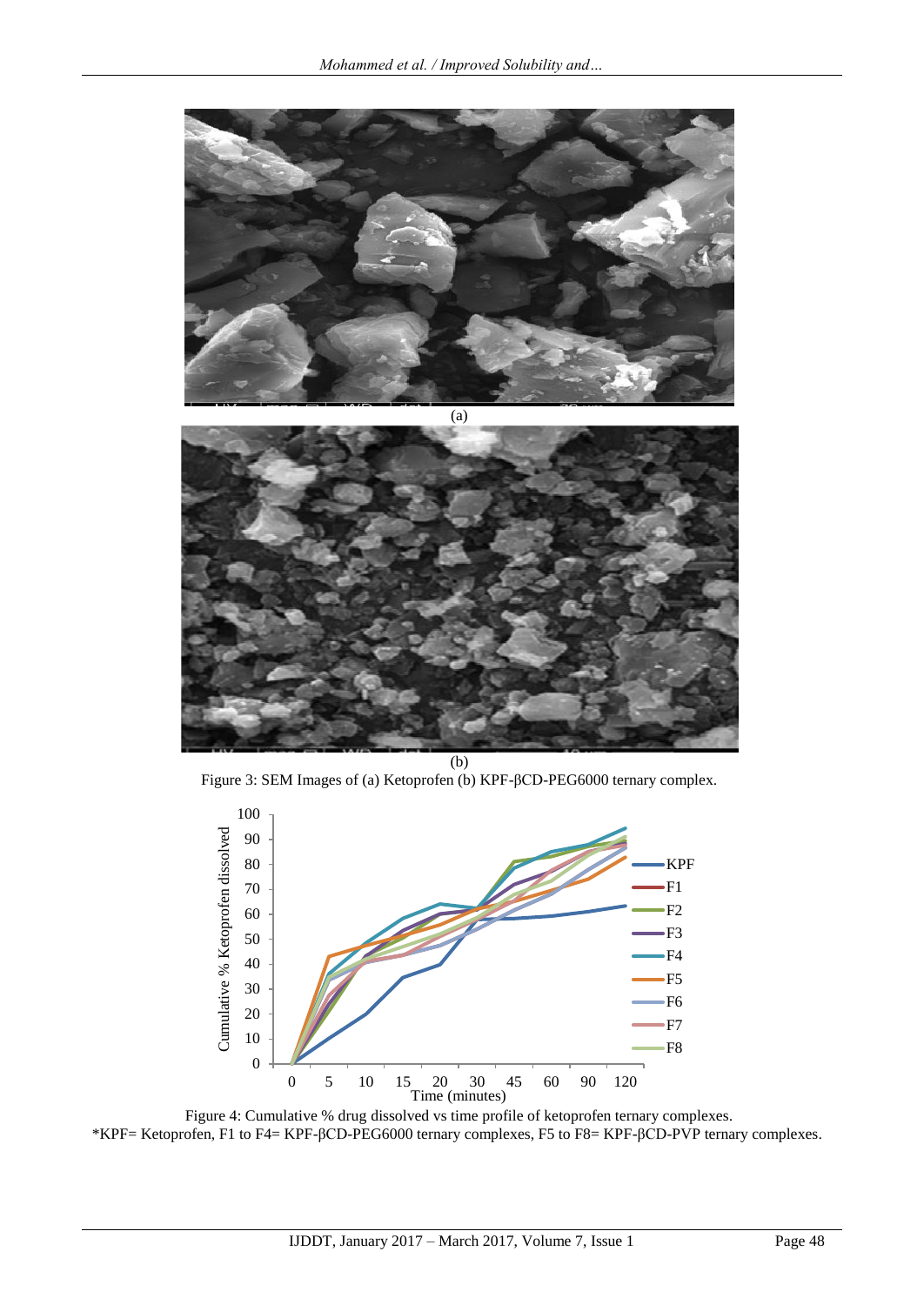

(b) Figure 3: SEM Images of (a) Ketoprofen (b) KPF-βCD-PEG6000 ternary complex.



Figure 4: Cumulative % drug dissolved vs time profile of ketoprofen ternary complexes. \*KPF= Ketoprofen, F1 to F4= KPF-βCD-PEG6000 ternary complexes, F5 to F8= KPF-βCD-PVP ternary complexes.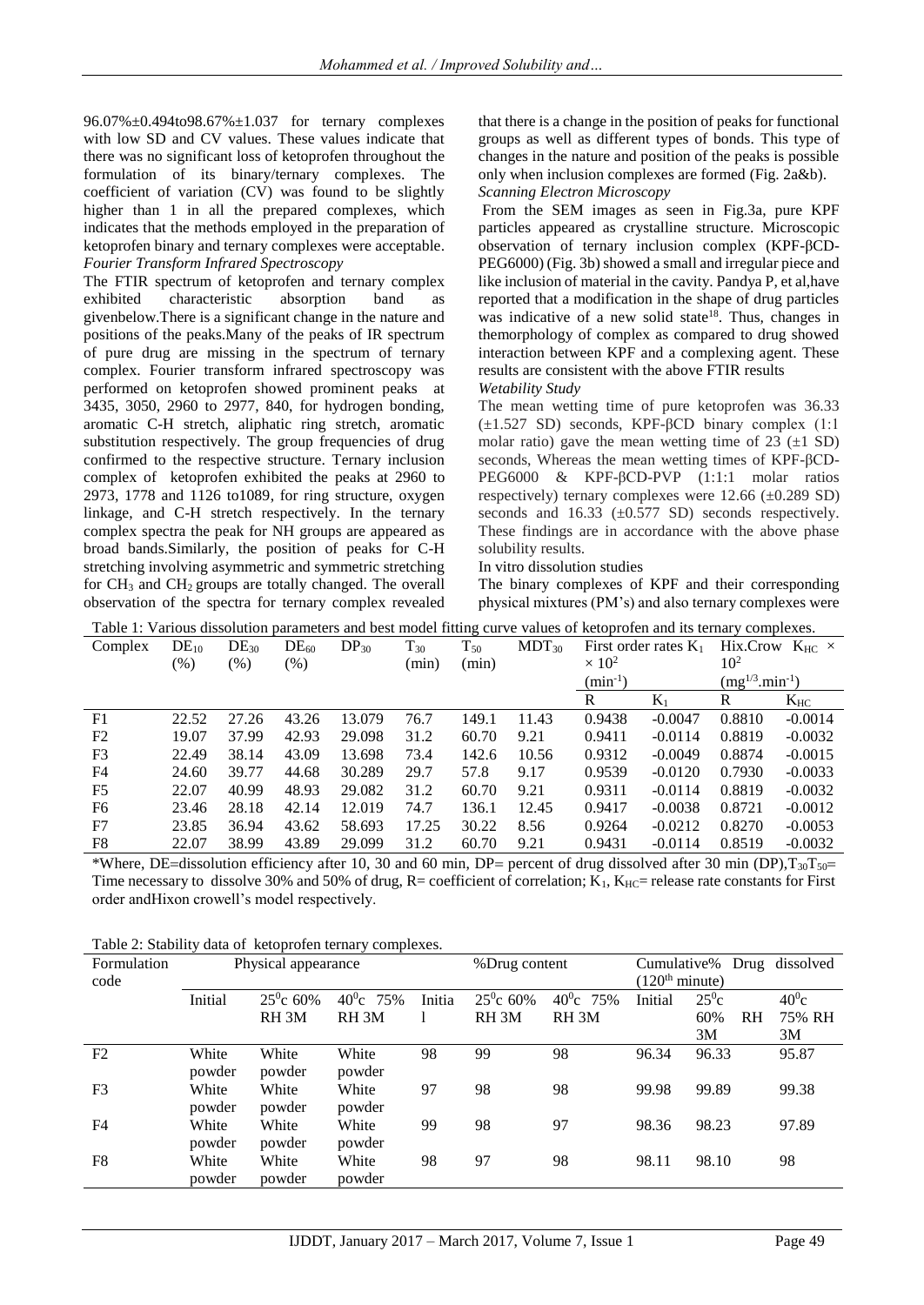96.07%±0.494to98.67%±1.037 for ternary complexes with low SD and CV values. These values indicate that there was no significant loss of ketoprofen throughout the formulation of its binary/ternary complexes. The coefficient of variation (CV) was found to be slightly higher than 1 in all the prepared complexes, which indicates that the methods employed in the preparation of ketoprofen binary and ternary complexes were acceptable. *Fourier Transform Infrared Spectroscopy* 

The FTIR spectrum of ketoprofen and ternary complex exhibited characteristic absorption band as givenbelow.There is a significant change in the nature and positions of the peaks.Many of the peaks of IR spectrum of pure drug are missing in the spectrum of ternary complex. Fourier transform infrared spectroscopy was performed on ketoprofen showed prominent peaks at 3435, 3050, 2960 to 2977, 840, for hydrogen bonding, aromatic C-H stretch, aliphatic ring stretch, aromatic substitution respectively. The group frequencies of drug confirmed to the respective structure. Ternary inclusion complex of ketoprofen exhibited the peaks at 2960 to 2973, 1778 and 1126 to1089, for ring structure, oxygen linkage, and C-H stretch respectively. In the ternary complex spectra the peak for NH groups are appeared as broad bands.Similarly, the position of peaks for C-H stretching involving asymmetric and symmetric stretching for CH<sup>3</sup> and CH2 groups are totally changed. The overall observation of the spectra for ternary complex revealed

that there is a change in the position of peaks for functional groups as well as different types of bonds. This type of changes in the nature and position of the peaks is possible only when inclusion complexes are formed (Fig. 2a&b).

# *Scanning Electron Microscopy*

From the SEM images as seen in Fig.3a, pure KPF particles appeared as crystalline structure. Microscopic observation of ternary inclusion complex (KPF-βCD-PEG6000) (Fig. 3b) showed a small and irregular piece and like inclusion of material in the cavity. Pandya P, et al,have reported that a modification in the shape of drug particles was indicative of a new solid state<sup>18</sup>. Thus, changes in themorphology of complex as compared to drug showed interaction between KPF and a complexing agent. These results are consistent with the above FTIR results *Wetability Study*

The mean wetting time of pure ketoprofen was 36.33  $(\pm 1.527 \text{ SD})$  seconds, KPF- $\beta$ CD binary complex (1:1) molar ratio) gave the mean wetting time of  $23$  ( $\pm 1$  SD) seconds, Whereas the mean wetting times of KPF-βCD-PEG6000 & KPF-βCD-PVP (1:1:1 molar ratios respectively) ternary complexes were  $12.66 \ (\pm 0.289 \ SD)$ seconds and  $16.33$  ( $\pm 0.577$  SD) seconds respectively. These findings are in accordance with the above phase solubility results.

In vitro dissolution studies

The binary complexes of KPF and their corresponding physical mixtures (PM's) and also ternary complexes were

| Table 1: Various dissolution parameters and best model fitting curve values of ketoprofen and its ternary complexes. |  |  |
|----------------------------------------------------------------------------------------------------------------------|--|--|
|                                                                                                                      |  |  |

| Complex        | $DE_{10}$ | $DE_{30}$ | $DE_{60}$ | $DP_{30}$ | $T_{30}$ | $T_{50}$ | $MDT_{30}$ | First order rates $K_1$ |           |                       | Hix.Crow $K_{HC}$ $\times$ |
|----------------|-----------|-----------|-----------|-----------|----------|----------|------------|-------------------------|-----------|-----------------------|----------------------------|
|                | $(\%)$    | $(\%)$    | (% )      |           | (min)    | (min)    |            | $\times 10^2$           |           | 10 <sup>2</sup>       |                            |
|                |           |           |           |           |          |          |            | $(min^{-1})$            |           | $(mg^{1/3}.min^{-1})$ |                            |
|                |           |           |           |           |          |          |            | R                       | $K_1$     | R                     | $K_{HC}$                   |
| F1             | 22.52     | 27.26     | 43.26     | 13.079    | 76.7     | 149.1    | 11.43      | 0.9438                  | $-0.0047$ | 0.8810                | $-0.0014$                  |
| F <sub>2</sub> | 19.07     | 37.99     | 42.93     | 29.098    | 31.2     | 60.70    | 9.21       | 0.9411                  | $-0.0114$ | 0.8819                | $-0.0032$                  |
| F <sub>3</sub> | 22.49     | 38.14     | 43.09     | 13.698    | 73.4     | 142.6    | 10.56      | 0.9312                  | $-0.0049$ | 0.8874                | $-0.0015$                  |
| F <sub>4</sub> | 24.60     | 39.77     | 44.68     | 30.289    | 29.7     | 57.8     | 9.17       | 0.9539                  | $-0.0120$ | 0.7930                | $-0.0033$                  |
| F <sub>5</sub> | 22.07     | 40.99     | 48.93     | 29.082    | 31.2     | 60.70    | 9.21       | 0.9311                  | $-0.0114$ | 0.8819                | $-0.0032$                  |
| F <sub>6</sub> | 23.46     | 28.18     | 42.14     | 12.019    | 74.7     | 136.1    | 12.45      | 0.9417                  | $-0.0038$ | 0.8721                | $-0.0012$                  |
| F7             | 23.85     | 36.94     | 43.62     | 58.693    | 17.25    | 30.22    | 8.56       | 0.9264                  | $-0.0212$ | 0.8270                | $-0.0053$                  |
| F8             | 22.07     | 38.99     | 43.89     | 29.099    | 31.2     | 60.70    | 9.21       | 0.9431                  | $-0.0114$ | 0.8519                | $-0.0032$                  |

\*Where, DE=dissolution efficiency after 10, 30 and 60 min, DP= percent of drug dissolved after 30 min (DP), $T_{30}T_{50}$ = Time necessary to dissolve 30% and 50% of drug,  $R=$  coefficient of correlation;  $K_1$ ,  $K_{HC}=$  release rate constants for First order andHixon crowell's model respectively.

| Table 2. Stability data of Retoprofer termally complexes. |         |                     |                  |        |                    |                  |                            |               |                |                            |
|-----------------------------------------------------------|---------|---------------------|------------------|--------|--------------------|------------------|----------------------------|---------------|----------------|----------------------------|
| Formulation                                               |         | Physical appearance |                  |        |                    | %Drug content    |                            |               |                | Cumulative% Drug dissolved |
| code                                                      |         |                     |                  |        |                    |                  | (120 <sup>th</sup> minute) |               |                |                            |
|                                                           | Initial | $25^{\circ}$ c 60%  | $40^0c$ 75%      | Initia | $25^{\circ}$ c 60% | $40^0c$ 75%      | Initial                    | $25^{\circ}c$ |                | $40^0$ c                   |
|                                                           |         | RH <sub>3M</sub>    | RH <sub>3M</sub> |        | RH <sub>3M</sub>   | RH <sub>3M</sub> |                            | 60%           | R <sub>H</sub> | 75% RH                     |
|                                                           |         |                     |                  |        |                    |                  |                            | 3M            |                | 3M                         |
| F2                                                        | White   | White               | White            | 98     | 99                 | 98               | 96.34                      | 96.33         |                | 95.87                      |
|                                                           | powder  | powder              | powder           |        |                    |                  |                            |               |                |                            |
| F <sub>3</sub>                                            | White   | White               | White            | 97     | 98                 | 98               | 99.98                      | 99.89         |                | 99.38                      |
|                                                           | powder  | powder              | powder           |        |                    |                  |                            |               |                |                            |
| F <sub>4</sub>                                            | White   | White               | White            | 99     | 98                 | 97               | 98.36                      | 98.23         |                | 97.89                      |
|                                                           | powder  | powder              | powder           |        |                    |                  |                            |               |                |                            |
| F <sub>8</sub>                                            | White   | White               | White            | 98     | 97                 | 98               | 98.11                      | 98.10         |                | 98                         |
|                                                           | powder  | powder              | powder           |        |                    |                  |                            |               |                |                            |

Table 2: Stability data of ketoprofen ternary complexes.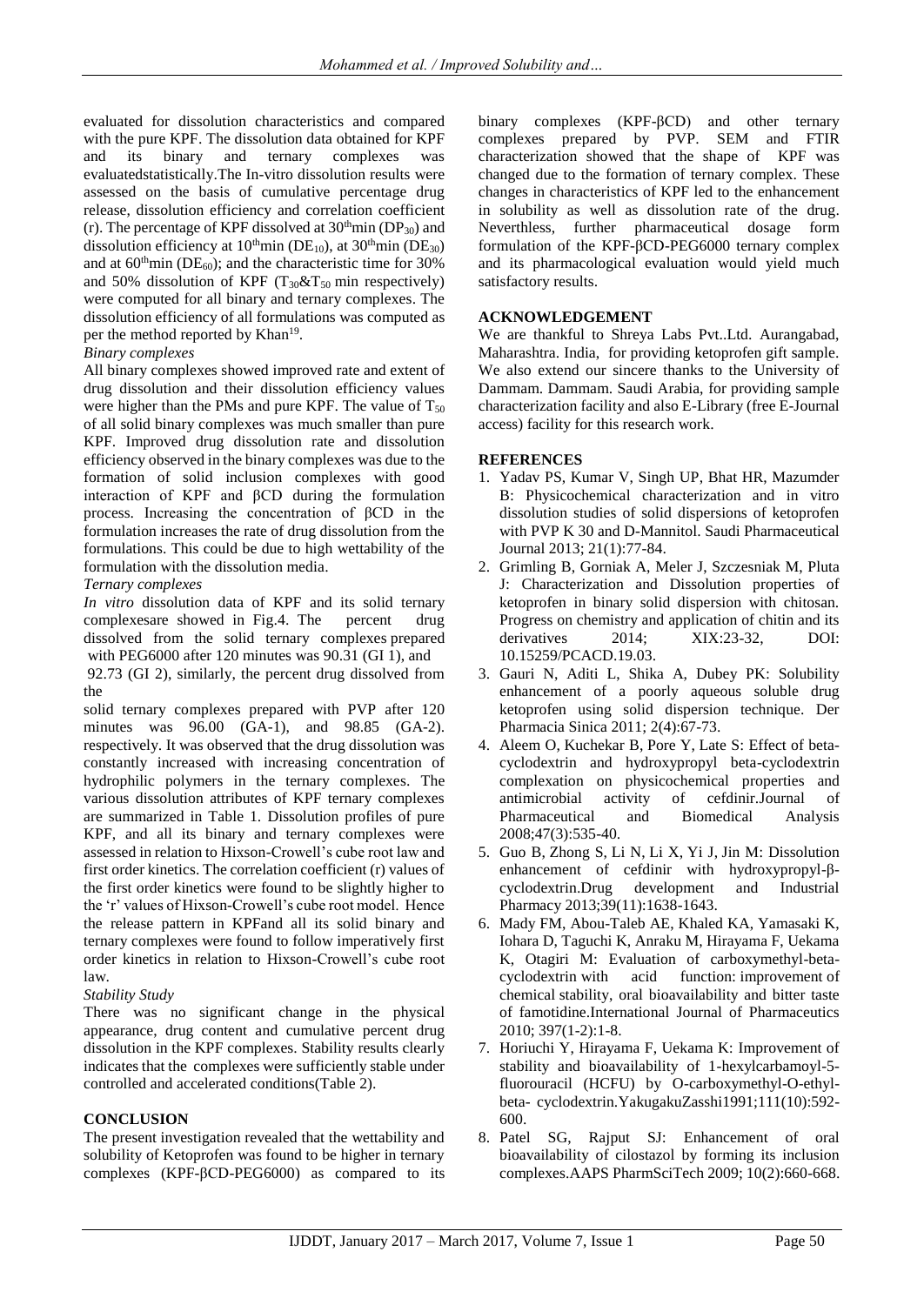evaluated for dissolution characteristics and compared with the pure KPF. The dissolution data obtained for KPF and its binary and ternary complexes was evaluatedstatistically.The In-vitro dissolution results were assessed on the basis of cumulative percentage drug release, dissolution efficiency and correlation coefficient (r). The percentage of KPF dissolved at  $30<sup>th</sup>$ min (DP<sub>30</sub>) and dissolution efficiency at  $10^{th}$ min (DE<sub>10</sub>), at  $30^{th}$ min (DE<sub>30</sub>) and at  $60^{\text{th}}$ min (DE<sub>60</sub>); and the characteristic time for 30% and 50% dissolution of KPF  $(T_{30} \& T_{50} \text{ min respectively})$ were computed for all binary and ternary complexes. The dissolution efficiency of all formulations was computed as per the method reported by Khan<sup>19</sup>.

# *Binary complexes*

All binary complexes showed improved rate and extent of drug dissolution and their dissolution efficiency values were higher than the PMs and pure KPF. The value of  $T_{50}$ of all solid binary complexes was much smaller than pure KPF. Improved drug dissolution rate and dissolution efficiency observed in the binary complexes was due to the formation of solid inclusion complexes with good interaction of KPF and βCD during the formulation process. Increasing the concentration of βCD in the formulation increases the rate of drug dissolution from the formulations. This could be due to high wettability of the formulation with the dissolution media.

# *Ternary complexes*

*In vitro* dissolution data of KPF and its solid ternary complexesare showed in Fig.4. The percent drug dissolved from the solid ternary complexes prepared with PEG6000 after 120 minutes was 90.31 (GI 1), and

92.73 (GI 2), similarly, the percent drug dissolved from the

solid ternary complexes prepared with PVP after 120 minutes was 96.00 (GA-1), and 98.85 (GA-2). respectively. It was observed that the drug dissolution was constantly increased with increasing concentration of hydrophilic polymers in the ternary complexes. The various dissolution attributes of KPF ternary complexes are summarized in Table 1. Dissolution profiles of pure KPF, and all its binary and ternary complexes were assessed in relation to Hixson-Crowell's cube root law and first order kinetics. The correlation coefficient (r) values of the first order kinetics were found to be slightly higher to the 'r' values of Hixson-Crowell's cube root model. Hence the release pattern in KPFand all its solid binary and ternary complexes were found to follow imperatively first order kinetics in relation to Hixson-Crowell's cube root law.

# *Stability Study*

There was no significant change in the physical appearance, drug content and cumulative percent drug dissolution in the KPF complexes. Stability results clearly indicates that the complexes were sufficiently stable under controlled and accelerated conditions(Table 2).

# **CONCLUSION**

The present investigation revealed that the wettability and solubility of Ketoprofen was found to be higher in ternary complexes (KPF-βCD-PEG6000) as compared to its

binary complexes (KPF-βCD) and other ternary complexes prepared by PVP. SEM and FTIR characterization showed that the shape of KPF was changed due to the formation of ternary complex. These changes in characteristics of KPF led to the enhancement in solubility as well as dissolution rate of the drug. Neverthless, further pharmaceutical dosage form formulation of the KPF-βCD-PEG6000 ternary complex and its pharmacological evaluation would yield much satisfactory results.

# **ACKNOWLEDGEMENT**

We are thankful to Shreya Labs Pvt..Ltd. Aurangabad, Maharashtra. India, for providing ketoprofen gift sample. We also extend our sincere thanks to the University of Dammam. Dammam. Saudi Arabia, for providing sample characterization facility and also E-Library (free E-Journal access) facility for this research work.

# **REFERENCES**

- 1. Yadav PS, Kumar V, Singh UP, Bhat HR, Mazumder B: Physicochemical characterization and in vitro dissolution studies of solid dispersions of ketoprofen with PVP K 30 and D-Mannitol. Saudi Pharmaceutical Journal 2013; 21(1):77-84.
- 2. Grimling B, Gorniak A, Meler J, Szczesniak M, Pluta J: Characterization and Dissolution properties of ketoprofen in binary solid dispersion with chitosan. Progress on chemistry and application of chitin and its derivatives 2014; XIX:23-32, DOI: 10.15259/PCACD.19.03.
- 3. Gauri N, Aditi L, Shika A, Dubey PK: Solubility enhancement of a poorly aqueous soluble drug ketoprofen using solid dispersion technique. Der Pharmacia Sinica 2011; 2(4):67-73.
- 4. [Aleem O,](https://www.ncbi.nlm.nih.gov/pubmed/?term=Aleem%20O%5BAuthor%5D&cauthor=true&cauthor_uid=18367363) [Kuchekar B,](https://www.ncbi.nlm.nih.gov/pubmed/?term=Kuchekar%20B%5BAuthor%5D&cauthor=true&cauthor_uid=18367363) [Pore Y,](https://www.ncbi.nlm.nih.gov/pubmed/?term=Pore%20Y%5BAuthor%5D&cauthor=true&cauthor_uid=18367363) [Late S:](https://www.ncbi.nlm.nih.gov/pubmed/?term=Late%20S%5BAuthor%5D&cauthor=true&cauthor_uid=18367363) Effect of betacyclodextrin and hydroxypropyl beta-cyclodextrin complexation on physicochemical properties and antimicrobial activity of cefdinir[.Journal](https://www.ncbi.nlm.nih.gov/pubmed/18367363) of Pharmaceutical and Biomedical Analysis 2008;47(3):535-40.
- 5. [Guo B,](https://www.ncbi.nlm.nih.gov/pubmed/?term=Guo%20B%5BAuthor%5D&cauthor=true&cauthor_uid=24087855) [Zhong S,](https://www.ncbi.nlm.nih.gov/pubmed/?term=Zhong%20S%5BAuthor%5D&cauthor=true&cauthor_uid=24087855) [Li N,](https://www.ncbi.nlm.nih.gov/pubmed/?term=Li%20N%5BAuthor%5D&cauthor=true&cauthor_uid=24087855) [Li X,](https://www.ncbi.nlm.nih.gov/pubmed/?term=Li%20X%5BAuthor%5D&cauthor=true&cauthor_uid=24087855) [Yi J,](https://www.ncbi.nlm.nih.gov/pubmed/?term=Yi%20J%5BAuthor%5D&cauthor=true&cauthor_uid=24087855) [Jin M:](https://www.ncbi.nlm.nih.gov/pubmed/?term=Jin%20M%5BAuthor%5D&cauthor=true&cauthor_uid=24087855) Dissolution enhancement of cefdinir with hydroxypropyl-βcyclodextrin.Drug development and Industrial Pharmacy 2013;39(11):1638-1643.
- 6. Mady FM, Abou-Taleb AE, Khaled KA, Yamasaki K, Iohara D, Taguchi K, Anraku M, Hirayama F, Uekama K, Otagiri M: [Evaluation of carboxymethyl-beta](https://www.ncbi.nlm.nih.gov/pubmed/20600734)cyclodextrin [with acid function:](https://www.ncbi.nlm.nih.gov/pubmed/20600734) improvement of chemical [stability, oral bioavailability and bitter taste](https://www.ncbi.nlm.nih.gov/pubmed/20600734)  [of famotidine.I](https://www.ncbi.nlm.nih.gov/pubmed/20600734)nternational Journal of Pharmaceutics 2010; 397(1-2):1-8.
- 7. Horiuchi Y, Hirayama F, Uekama K: [Improvement of](https://www.ncbi.nlm.nih.gov/pubmed/1812279)  [stability and bioavailability of 1-hexylcarbamoyl-5](https://www.ncbi.nlm.nih.gov/pubmed/1812279) [fluorouracil \(HCFU\) by O-carboxymethyl-O-ethyl](https://www.ncbi.nlm.nih.gov/pubmed/1812279)beta- [cyclodextrin.Y](https://www.ncbi.nlm.nih.gov/pubmed/1812279)akugakuZasshi1991;111(10):592- 600.
- 8. Patel SG, Rajput SJ: [Enhancement of oral](https://www.ncbi.nlm.nih.gov/pubmed/19459053)  [bioavailability of cilostazol by forming its inclusion](https://www.ncbi.nlm.nih.gov/pubmed/19459053)  [complexes.A](https://www.ncbi.nlm.nih.gov/pubmed/19459053)APS PharmSciTech 2009; 10(2):660-668.